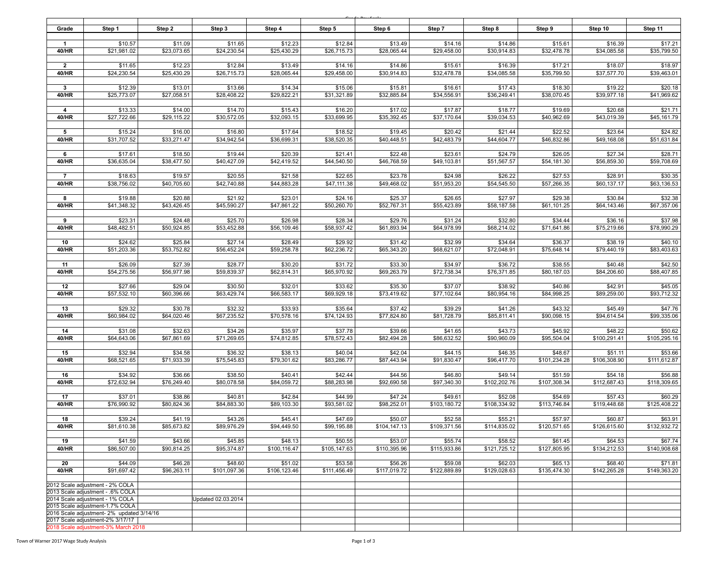| Grade                                                               | Step 1                                                                        | Step 2                 | Step 3                  | Step 4                  | Step 5                  | Step 6                  | Step 7                  | Step 8                  | Step 9                  | Step 10                 | Step 11                 |
|---------------------------------------------------------------------|-------------------------------------------------------------------------------|------------------------|-------------------------|-------------------------|-------------------------|-------------------------|-------------------------|-------------------------|-------------------------|-------------------------|-------------------------|
|                                                                     |                                                                               |                        |                         |                         |                         |                         |                         |                         |                         |                         |                         |
| $\mathbf{1}$<br>40/HR                                               | \$10.57<br>\$21,981.02                                                        | \$11.09<br>\$23,073.65 | \$11.65<br>\$24,230.54  | \$12.23<br>\$25,430.29  | \$12.84<br>\$26,715.73  | \$13.49<br>\$28,065.44  | \$14.16<br>\$29,458.00  | \$14.86<br>\$30,914.83  | \$15.61<br>\$32,478.78  | \$16.39<br>\$34,085.58  | \$17.21<br>\$35,799.50  |
|                                                                     |                                                                               |                        |                         |                         |                         |                         |                         |                         |                         |                         |                         |
| $\overline{2}$                                                      | \$11.65                                                                       | \$12.23                | \$12.84                 | \$13.49                 | \$14.16                 | \$14.86                 | \$15.61                 | \$16.39                 | \$17.21                 | \$18.07                 | \$18.97                 |
| 40/HR                                                               | \$24,230.54                                                                   | \$25,430.29            | \$26,715.73             | \$28,065.44             | \$29,458.00             | \$30.914.83             | \$32,478.78             | \$34,085.58             | \$35,799.50             | \$37,577.70             | \$39,463.01             |
| $\mathbf{3}$                                                        | \$12.39                                                                       | \$13.01                | \$13.66                 | \$14.34                 | \$15.06                 | \$15.81                 | \$16.61                 | \$17.43                 | \$18.30                 | \$19.22                 | \$20.18                 |
| 40/HR                                                               | \$25,773.07                                                                   | \$27,058.51            | \$28,408.22             | \$29,822.21             | \$31,321.89             | \$32,885.84             | \$34,556.91             | \$36,249.41             | \$38,070.45             | \$39,977.18             | \$41,969.62             |
| $\overline{4}$                                                      | \$13.33                                                                       | \$14.00                | \$14.70                 | \$15.43                 | \$16.20                 | \$17.02                 | \$17.87                 | \$18.77                 | \$19.69                 | \$20.68                 | \$21.71                 |
| 40/HR                                                               | \$27,722.66                                                                   | \$29,115.22            | \$30,572.05             | \$32,093.15             | \$33,699.95             | \$35,392.45             | \$37,170.64             | \$39,034.53             | \$40,962.69             | \$43,019.39             | \$45,161.79             |
|                                                                     |                                                                               |                        |                         |                         |                         |                         |                         |                         |                         |                         |                         |
| 5<br>40/HR                                                          | \$15.24<br>\$31,707.52                                                        | \$16.00<br>\$33,271.47 | \$16.80<br>\$34,942.54  | \$17.64<br>\$36,699.31  | \$18.52<br>\$38,520.35  | \$19.45<br>\$40,448.51  | \$20.42<br>\$42,483.79  | \$21.44<br>\$44,604.77  | \$22.52<br>\$46,832.86  | \$23.64<br>\$49,168.08  | \$24.82<br>\$51,631.84  |
|                                                                     |                                                                               |                        |                         |                         |                         |                         |                         |                         |                         |                         |                         |
| 6                                                                   | \$17.61                                                                       | \$18.50                | \$19.44                 | \$20.39                 | \$21.41                 | \$22.48                 | \$23.61                 | \$24.79                 | \$26.05                 | \$27.34                 | \$28.71                 |
| 40/HR                                                               | \$36,635.04                                                                   | \$38,477.50            | \$40,427.09             | \$42,419.52             | \$44,540.50             | \$46,768.59             | \$49,103.81             | \$51,567.57             | \$54,181.30             | \$56,859.30             | \$59,708.69             |
| $\overline{7}$                                                      | \$18.63                                                                       | \$19.57                | \$20.55                 | \$21.58                 | \$22.65                 | \$23.78                 | \$24.98                 | \$26.22                 | \$27.53                 | \$28.91                 | \$30.35                 |
| 40/HR                                                               | \$38,756.02                                                                   | \$40,705.60            | \$42,740.88             | \$44,883.28             | \$47,111.38             | \$49,468.02             | \$51,953.20             | \$54,545.50             | \$57,266.35             | \$60,137.17             | \$63,136.53             |
| 8                                                                   | \$19.88                                                                       | \$20.88                | \$21.92                 | \$23.01                 | \$24.16                 | \$25.37                 | \$26.65                 | \$27.97                 | \$29.38                 | \$30.84                 | \$32.38                 |
| 40/HR                                                               | \$41,348.32                                                                   | \$43,426.45            | \$45,590.27             | \$47,861.22             | \$50,260.70             | \$52,767.31             | \$55,423.89             | \$58,187.58             | \$61,101.25             | \$64,143.46             | \$67,357.06             |
|                                                                     |                                                                               |                        |                         |                         |                         |                         |                         |                         |                         |                         |                         |
| 9<br>40/HR                                                          | \$23.31<br>\$48,482.51                                                        | \$24.48<br>\$50,924.85 | \$25.70<br>\$53,452.88  | \$26.98<br>\$56,109.46  | \$28.34<br>\$58,937.42  | \$29.76<br>\$61,893.94  | \$31.24<br>\$64,978.99  | \$32.80<br>\$68,214.02  | \$34.44<br>\$71,641.86  | \$36.16<br>\$75,219.66  | \$37.98<br>\$78,990.29  |
|                                                                     |                                                                               |                        |                         |                         |                         |                         |                         |                         |                         |                         |                         |
| 10                                                                  | \$24.62                                                                       | \$25.84                | \$27.14                 | \$28.49                 | \$29.92                 | \$31.42                 | \$32.99                 | \$34.64                 | \$36.37                 | \$38.19                 | \$40.10                 |
| 40/HR                                                               | \$51,203.36                                                                   | \$53,752.82            | \$56,452.24             | \$59,258.78             | \$62,236.72             | \$65,343.20             | \$68,621.07             | \$72,048.91             | \$75,648.14             | \$79,440.19             | \$83,403.63             |
| 11                                                                  | \$26.09                                                                       | \$27.39                | \$28.77                 | \$30.20                 | \$31.72                 | \$33.30                 | \$34.97                 | \$36.72                 | \$38.55                 | \$40.48                 | \$42.50                 |
| 40/HR                                                               | \$54,275.56                                                                   | \$56,977.98            | \$59,839.37             | \$62,814.31             | \$65,970.92             | \$69,263.79             | \$72,738.34             | \$76,371.85             | \$80,187.03             | \$84,206.60             | \$88,407.85             |
| 12                                                                  | \$27.66                                                                       |                        | \$30.50                 | \$32.01                 |                         | \$35.30                 | \$37.07                 | \$38.92                 | \$40.86                 | \$42.91                 | \$45.05                 |
| 40/HR                                                               | \$57,532.10                                                                   | \$29.04<br>\$60,396.66 | \$63,429.74             | \$66,583.17             | \$33.62<br>\$69,929.18  | \$73,419.62             | \$77,102.64             | \$80,954.16             | \$84,998.25             | \$89,259.00             | \$93,712.32             |
|                                                                     |                                                                               |                        |                         |                         |                         |                         |                         |                         |                         |                         |                         |
| 13                                                                  | \$29.32                                                                       | \$30.78                | \$32.32                 | \$33.93                 | \$35.64                 | \$37.42                 | \$39.29                 | \$41.26                 | \$43.32                 | \$45.49                 | \$47.76                 |
| 40/HR                                                               | \$60,984.02                                                                   | \$64,020.46            | \$67,235.52             | \$70,578.16             | \$74,124.93             | \$77,824.80             | \$81,728.79             | \$85,811.41             | \$90,098.15             | \$94,614.54             | \$99,335.06             |
| 14                                                                  | \$31.08                                                                       | \$32.63                | \$34.26                 | \$35.97                 | \$37.78                 | \$39.66                 | \$41.65                 | \$43.73                 | \$45.92                 | \$48.22                 | \$50.62                 |
| 40/HR                                                               | \$64,643.06                                                                   | \$67,861.69            | \$71,269.65             | \$74,812.85             | \$78,572.43             | \$82,494.28             | \$86,632.52             | \$90,960.09             | \$95,504.04             | \$100,291.41            | \$105,295.16            |
| 15                                                                  | \$32.94                                                                       | \$34.58                | \$36.32                 | \$38.13                 | \$40.04                 | \$42.04                 | \$44.15                 | \$46.35                 | \$48.67                 | \$51.11                 | \$53.66                 |
| 40/HR                                                               | \$68,521.65                                                                   | \$71,933.39            | \$75,545.83             | \$79,301.62             | \$83,286.77             | \$87,443.94             | \$91,830.47             | \$96,417.70             | \$101,234.28            | \$106,308.90            | \$111,612.87            |
|                                                                     |                                                                               |                        |                         |                         |                         |                         |                         |                         |                         |                         |                         |
| 16<br>40/HR                                                         | \$34.92<br>\$72,632.94                                                        | \$36.66<br>\$76,249.40 | \$38.50<br>\$80,078.58  | \$40.41<br>\$84,059.72  | \$42.44<br>\$88,283.98  | \$44.56<br>\$92,690.58  | \$46.80<br>\$97,340.30  | \$49.14<br>\$102,202.76 | \$51.59<br>\$107,308.34 | \$54.18<br>\$112,687.43 | \$56.88<br>\$118,309.65 |
|                                                                     |                                                                               |                        |                         |                         |                         |                         |                         |                         |                         |                         |                         |
| 17<br>40/HR                                                         | \$37.01<br>\$76,990.92                                                        | \$38.86<br>\$80,824.36 | \$40.81<br>\$84,883.30  | \$42.84<br>\$89,103.30  | \$44.99<br>\$93,581.02  | \$47.24<br>\$98,252.01  | \$49.61<br>\$103,180.72 | \$52.08<br>\$108,334.92 | \$54.69<br>\$113,746.84 | \$57.43<br>\$119,448.68 | \$60.29<br>\$125,408.22 |
|                                                                     |                                                                               |                        |                         |                         |                         |                         |                         |                         |                         |                         |                         |
| 18                                                                  | \$39.24                                                                       | \$41.19                | \$43.26                 | \$45.41                 | \$47.69                 | \$50.07                 | \$52.58                 | \$55.21                 | \$57.97                 | \$60.87                 | \$63.91                 |
| 40/HR                                                               | \$81,610.38                                                                   | \$85,673.82            | \$89,976.29             | \$94,449.50             | \$99,195.88             | \$104, 147.13           | \$109,371.56            | \$114,835.02            | \$120,571.65            | \$126,615.60            | \$132,932.72            |
| 19                                                                  | \$41.59                                                                       | \$43.66                | \$45.85                 | \$48.13                 | \$50.55                 | \$53.07                 | \$55.74                 | \$58.52                 | \$61.45                 | \$64.53                 | \$67.74                 |
| 40/HR                                                               | \$86,507.00                                                                   | \$90,814.25            | \$95,374.87             | \$100,116.47            | \$105,147.63            | \$110,395.96            | \$115,933.86            | \$121,725.12            | \$127,805.95            | \$134,212.53            | \$140,908.68            |
|                                                                     |                                                                               |                        |                         |                         |                         |                         |                         |                         |                         |                         |                         |
| 20<br>40/HR                                                         | \$44.09<br>\$91,697.42                                                        | \$46.28<br>\$96,263.11 | \$48.60<br>\$101,097.36 | \$51.02<br>\$106,123.46 | \$53.58<br>\$111,456.49 | \$56.26<br>\$117,019.72 | \$59.08<br>\$122,889.89 | \$62.03<br>\$129,028.63 | \$65.13<br>\$135,474.30 | \$68.40<br>\$142,265.28 | \$71.81<br>\$149,363.20 |
|                                                                     |                                                                               |                        |                         |                         |                         |                         |                         |                         |                         |                         |                         |
| 2012 Scale adjustment - 2% COLA                                     |                                                                               |                        |                         |                         |                         |                         |                         |                         |                         |                         |                         |
| 2013 Scale adjustment - .6% COLA<br>2014 Scale adjustment - 1% COLA |                                                                               |                        | Updated 02.03.2014      |                         |                         |                         |                         |                         |                         |                         |                         |
| 2015 Scale adjustment-1.7% COLA                                     |                                                                               |                        |                         |                         |                         |                         |                         |                         |                         |                         |                         |
|                                                                     | 2016 Scale adjustment- 2% updated 3/14/16<br>2017 Scale adjustment-2% 3/17/17 |                        |                         |                         |                         |                         |                         |                         |                         |                         |                         |
|                                                                     | 2018 Scale adjustment-3% March 2018                                           |                        |                         |                         |                         |                         |                         |                         |                         |                         |                         |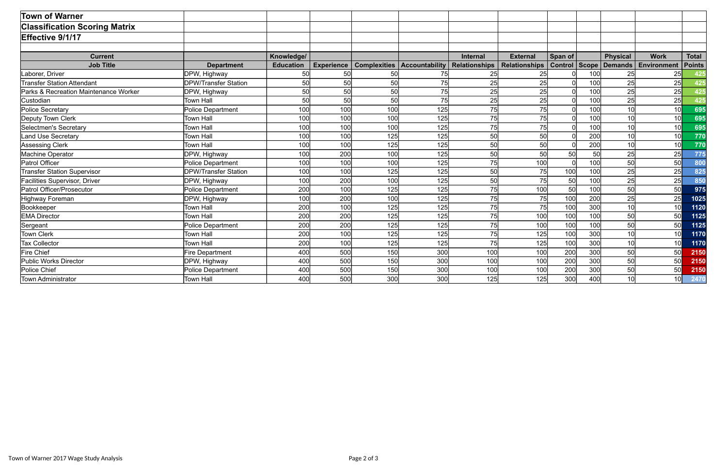| <b>Town of Warner</b>                 |                             |                  |                   |           |                                      |                      |                      |                |              |                 |                 |               |
|---------------------------------------|-----------------------------|------------------|-------------------|-----------|--------------------------------------|----------------------|----------------------|----------------|--------------|-----------------|-----------------|---------------|
| <b>Classification Scoring Matrix</b>  |                             |                  |                   |           |                                      |                      |                      |                |              |                 |                 |               |
| Effective 9/1/17                      |                             |                  |                   |           |                                      |                      |                      |                |              |                 |                 |               |
|                                       |                             |                  |                   |           |                                      |                      |                      |                |              |                 |                 |               |
| <b>Current</b>                        |                             | Knowledge/       |                   |           |                                      | <b>Internal</b>      | <b>External</b>      | Span of        |              | <b>Physical</b> | <b>Work</b>     | <b>Total</b>  |
| <b>Job Title</b>                      | <b>Department</b>           | <b>Education</b> | <b>Experience</b> |           | <b>Complexities   Accountability</b> | <b>Relationships</b> | <b>Relationships</b> | <b>Control</b> | <b>Scope</b> | Demands         | Environment     | <b>Points</b> |
| Laborer, Driver                       | DPW, Highway                | 50               | 50                | 50        | 75                                   | 25                   | 25                   |                | 100          | 25              | 25              | 425           |
| <b>Transfer Station Attendant</b>     | <b>DPW/Transfer Station</b> | 50               | 50                | 50        | 75                                   | 25                   | 25                   |                | <b>100</b>   | 25              | 25              | 425           |
| Parks & Recreation Maintenance Worker | DPW, Highway                | 50               | 50                | <b>50</b> | 75                                   | 25                   | 25                   |                | 100          | 25              | 25              | 425           |
| Custodian                             | <b>Town Hall</b>            | 50               | 50                | 50        | 75                                   | 25                   | 25                   |                | 100          | 25              | 25              | 425           |
| Police Secretary                      | Police Department           | 100              | 100               | 100       | 125                                  | 75                   | 75                   |                | 100          | 10              | 10 <sup>1</sup> | 695           |
| Deputy Town Clerk                     | <b>Town Hall</b>            | 100              | 100               | 100       | 125                                  | 75                   | 75                   |                | 100          | 10              | 10              | 695           |
| Selectmen's Secretary                 | <b>Town Hall</b>            | 100              | 100               | 100       | 125                                  | 75                   | 75                   |                | 100          | 10              | 10              | 695           |
| <b>Land Use Secretary</b>             | <b>Town Hall</b>            | 100              | 100               | 125       | 125                                  | 50                   | 50                   |                | 200          | 10              | 10 <sup>1</sup> | 770           |
| Assessing Clerk                       | <b>Town Hall</b>            | 100              | 100               | 125       | 125                                  | 50                   | 50                   |                | 200          | 10              | 10              | 770           |
| Machine Operator                      | DPW, Highway                | 100              | 200               | 100       | 125                                  | 50                   | 50                   | 50             | 50           | 25              | 25              | 775           |
| Patrol Officer                        | Police Department           | 100              | 100               | 100       | 125                                  | 75                   | 100                  |                | 100          | 50              | 50              | 800           |
| <b>Transfer Station Supervisor</b>    | <b>DPW/Transfer Station</b> | 100              | 100               | 125       | 125                                  | 50                   | 75                   | 100            | 100          | 25              | 25              | 825           |
| <b>Facilities Supervisor, Driver</b>  | DPW, Highway                | 100              | 200               | 100       | 125                                  | 50                   | 75                   | 50             | 100          | 25              | 25              | 850           |
| Patrol Officer/Prosecutor             | <b>Police Department</b>    | 200              | 100               | 125       | 125                                  | 75                   | 100                  | 50             | 100          | 50              | 50              | 975           |
| Highway Foreman                       | DPW, Highway                | 100              | 200               | 100       | 125                                  | 75                   | 75                   | 100            | 200          | 25              | 25              | 1025          |
| Bookkeeper                            | <b>Town Hall</b>            | 200              | 100               | 125       | 125                                  | 75                   | 75                   | 100            | 300          | 10              | 10              | 1120          |
| <b>EMA Director</b>                   | <b>Town Hall</b>            | 200              | 200               | 125       | 125                                  | 75                   | 100                  | 100            | 100          | 50              | 50              | 1125          |
| Sergeant                              | <b>Police Department</b>    | 200              | 200               | 125       | 125                                  | 75                   | 100                  | 100            | 100          | 50              | 50              | 1125          |
| Town Clerk                            | <b>Town Hall</b>            | 200              | 100               | 125       | 125                                  | 75                   | 125                  | 100            | 300          | 10              | 10              | 1170          |
| <b>Tax Collector</b>                  | <b>Town Hall</b>            | 200              | 100               | 125       | 125                                  | 75                   | 125                  | 100            | 300          | 10              | 10              | 1170          |
| Fire Chief                            | <b>Fire Department</b>      | 400              | 500               | 150       | 300                                  | 100                  | 100                  | 200            | 300          | 50              | 50              | 2150          |
| Public Works Director                 | DPW, Highway                | 400              | 500               | 150       | 300                                  | 100                  | 100                  | 200            | 300          | 50              | 50              | 2150          |
| Police Chief                          | <b>Police Department</b>    | 400              | 500               | 150       | 300                                  | 100                  | 100                  | 200            | 300          | 50              | 50              | 2150          |
| Town Administrator                    | <b>Town Hall</b>            | 400              | 500               | 300       | 300                                  | 125                  | 125                  | 300            | 400          | 10              | 10              | 2470          |